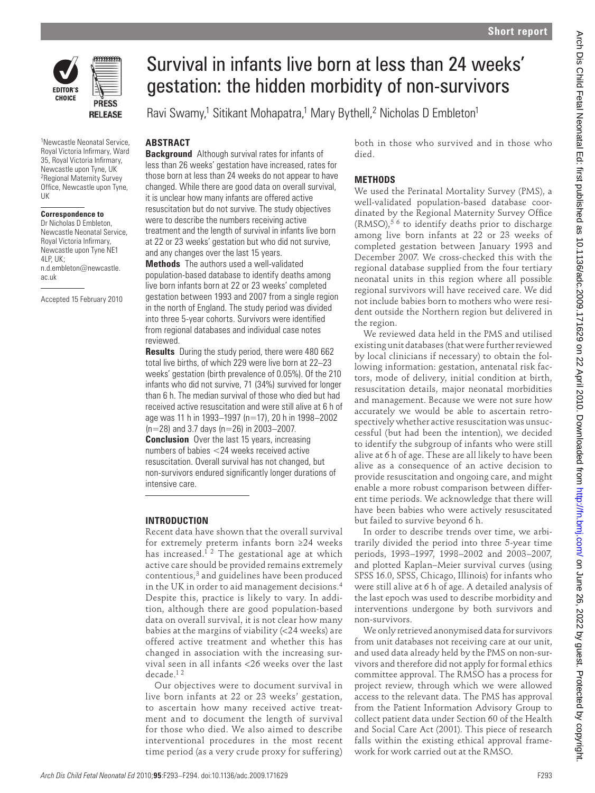

1 Newcastle Neonatal Service, Royal Victoria Infirmary, Ward 35, Royal Victoria Infirmary, Newcastle upon Tyne, UK 2Regional Maternity Survey Office, Newcastle upon Tyne, UK

## **Correspondence to**

Dr Nicholas D Embleton, Newcastle Neonatal Service, **Royal Victoria Infirmary** Newcastle upon Tyne NE1 4LP, UK; n.d.embleton@newcastle. ac.uk

Accepted 15 February 2010

# Survival in infants live born at less than 24 weeks' gestation: the hidden morbidity of non-survivors

Ravi Swamy,<sup>1</sup> Sitikant Mohapatra,<sup>1</sup> Mary Bythell,<sup>2</sup> Nicholas D Embleton<sup>1</sup>

# **ABSTRACT**

**Background** Although survival rates for infants of less than 26 weeks' gestation have increased, rates for those born at less than 24 weeks do not appear to have changed. While there are good data on overall survival, it is unclear how many infants are offered active resuscitation but do not survive. The study objectives were to describe the numbers receiving active treatment and the length of survival in infants live born at 22 or 23 weeks' gestation but who did not survive, and any changes over the last 15 years.

**Methods** The authors used a well-validated population-based database to identify deaths among live born infants born at 22 or 23 weeks' completed gestation between 1993 and 2007 from a single region in the north of England. The study period was divided into three 5-year cohorts. Survivors were identified from regional databases and individual case notes reviewed.

**Results** During the study period, there were 480 662 total live births, of which 229 were live born at 22–23 weeks' gestation (birth prevalence of 0.05%). Of the 210 infants who did not survive, 71 (34%) survived for longer than 6 h. The median survival of those who died but had received active resuscitation and were still alive at 6 h of age was 11 h in 1993–1997 (n=17), 20 h in 1998–2002 (n=28) and 3.7 days (n=26) in 2003–2007.

**Conclusion** Over the last 15 years, increasing numbers of babies <24 weeks received active resuscitation. Overall survival has not changed, but non-survivors endured significantly longer durations of intensive care.

# **INTRODUCTION**

Recent data have shown that the overall survival for extremely preterm infants born ≥24 weeks has increased.<sup>12</sup> The gestational age at which active care should be provided remains extremely contentious,3 and guidelines have been produced in the UK in order to aid management decisions.<sup>4</sup> Despite this, practice is likely to vary. In addition, although there are good population-based data on overall survival, it is not clear how many babies at the margins of viability (<24 weeks) are offered active treatment and whether this has changed in association with the increasing survival seen in all infants <26 weeks over the last decade.1 2

Our objectives were to document survival in live born infants at 22 or 23 weeks' gestation, to ascertain how many received active treatment and to document the length of survival for those who died. We also aimed to describe interventional procedures in the most recent time period (as a very crude proxy for suffering) both in those who survived and in those who died.

# **METHODS**

We used the Perinatal Mortality Survey (PMS), a well-validated population-based database coordinated by the Regional Maternity Survey Office  $(RMSO),$ <sup>56</sup> to identify deaths prior to discharge among live born infants at 22 or 23 weeks of completed gestation between January 1993 and December 2007. We cross-checked this with the regional database supplied from the four tertiary neonatal units in this region where all possible regional survivors will have received care. We did not include babies born to mothers who were resident outside the Northern region but delivered in the region.

We reviewed data held in the PMS and utilised existing unit databases (that were further reviewed by local clinicians if necessary) to obtain the following information: gestation, antenatal risk factors, mode of delivery, initial condition at birth, resuscitation details, major neonatal morbidities and management. Because we were not sure how accurately we would be able to ascertain retrospectively whether active resuscitation was unsuccessful (but had been the intention), we decided to identify the subgroup of infants who were still alive at 6 h of age. These are all likely to have been alive as a consequence of an active decision to provide resuscitation and ongoing care, and might enable a more robust comparison between different time periods. We acknowledge that there will have been babies who were actively resuscitated but failed to survive beyond 6 h. Survival in inflatts live born at less than 24 weeks<br>gestation: the hidden morbidity of non-survivors<br>gestation: the hidden morbidity of non-survivors<br>gestation: the hidden morbidity of non-survivors<br>and a strategies of t

In order to describe trends over time, we arbitrarily divided the period into three 5-year time periods, 1993–1997, 1998–2002 and 2003–2007, and plotted Kaplan–Meier survival curves (using SPSS 16.0, SPSS, Chicago, Illinois) for infants who were still alive at 6 h of age. A detailed analysis of the last epoch was used to describe morbidity and interventions undergone by both survivors and non-survivors.

We only retrieved anonymised data for survivors from unit databases not receiving care at our unit, and used data already held by the PMS on non-survivors and therefore did not apply for formal ethics committee approval. The RMSO has a process for project review, through which we were allowed access to the relevant data. The PMS has approval from the Patient Information Advisory Group to collect patient data under Section 60 of the Health and Social Care Act (2001). This piece of research falls within the existing ethical approval framework for work carried out at the RMSO.